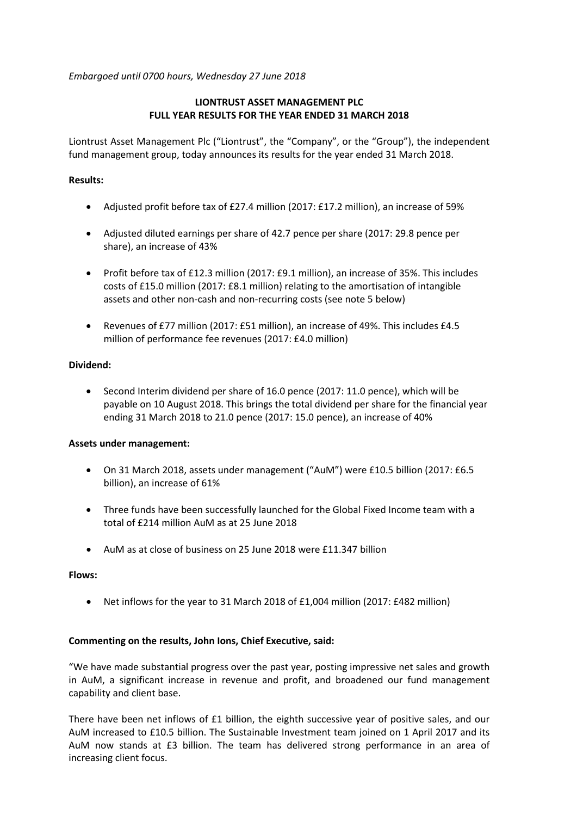*Embargoed until 0700 hours, Wednesday 27 June 2018*

# **LIONTRUST ASSET MANAGEMENT PLC FULL YEAR RESULTS FOR THE YEAR ENDED 31 MARCH 2018**

Liontrust Asset Management Plc ("Liontrust", the "Company", or the "Group"), the independent fund management group, today announces its results for the year ended 31 March 2018.

## **Results:**

- Adjusted profit before tax of £27.4 million (2017: £17.2 million), an increase of 59%
- Adjusted diluted earnings per share of 42.7 pence per share (2017: 29.8 pence per share), an increase of 43%
- Profit before tax of £12.3 million (2017: £9.1 million), an increase of 35%. This includes costs of £15.0 million (2017: £8.1 million) relating to the amortisation of intangible assets and other non-cash and non-recurring costs (see note 5 below)
- Revenues of £77 million (2017: £51 million), an increase of 49%. This includes £4.5 million of performance fee revenues (2017: £4.0 million)

# **Dividend:**

• Second Interim dividend per share of 16.0 pence (2017: 11.0 pence), which will be payable on 10 August 2018. This brings the total dividend per share for the financial year ending 31 March 2018 to 21.0 pence (2017: 15.0 pence), an increase of 40%

## **Assets under management:**

- On 31 March 2018, assets under management ("AuM") were £10.5 billion (2017: £6.5 billion), an increase of 61%
- Three funds have been successfully launched for the Global Fixed Income team with a total of £214 million AuM as at 25 June 2018
- AuM as at close of business on 25 June 2018 were £11.347 billion

## **Flows:**

• Net inflows for the year to 31 March 2018 of £1,004 million (2017: £482 million)

## **Commenting on the results, John Ions, Chief Executive, said:**

"We have made substantial progress over the past year, posting impressive net sales and growth in AuM, a significant increase in revenue and profit, and broadened our fund management capability and client base.

There have been net inflows of £1 billion, the eighth successive year of positive sales, and our AuM increased to £10.5 billion. The Sustainable Investment team joined on 1 April 2017 and its AuM now stands at £3 billion. The team has delivered strong performance in an area of increasing client focus.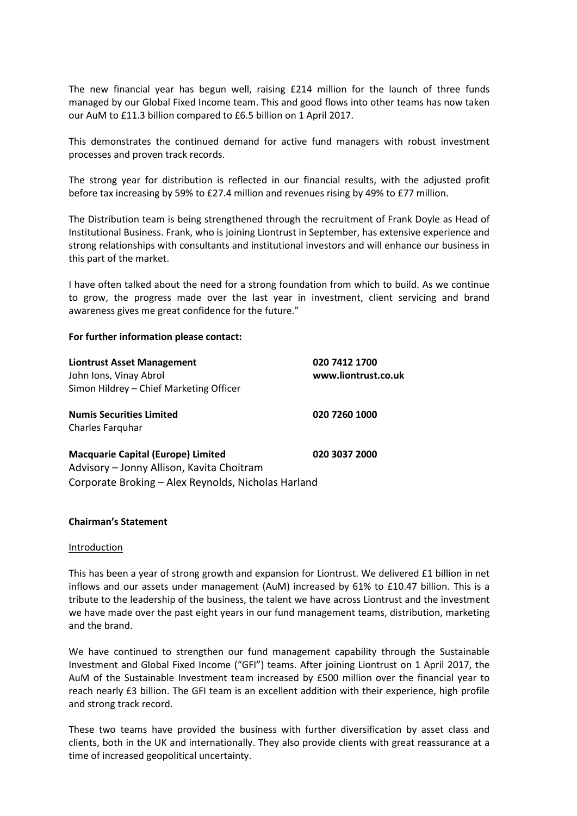The new financial year has begun well, raising £214 million for the launch of three funds managed by our Global Fixed Income team. This and good flows into other teams has now taken our AuM to £11.3 billion compared to £6.5 billion on 1 April 2017.

This demonstrates the continued demand for active fund managers with robust investment processes and proven track records.

The strong year for distribution is reflected in our financial results, with the adjusted profit before tax increasing by 59% to £27.4 million and revenues rising by 49% to £77 million.

The Distribution team is being strengthened through the recruitment of Frank Doyle as Head of Institutional Business. Frank, who is joining Liontrust in September, has extensive experience and strong relationships with consultants and institutional investors and will enhance our business in this part of the market.

I have often talked about the need for a strong foundation from which to build. As we continue to grow, the progress made over the last year in investment, client servicing and brand awareness gives me great confidence for the future."

### **For further information please contact:**

| <b>Liontrust Asset Management</b><br>John Ions, Vinay Abrol | 020 7412 1700<br>www.liontrust.co.uk |
|-------------------------------------------------------------|--------------------------------------|
| Simon Hildrey - Chief Marketing Officer                     |                                      |
| <b>Numis Securities Limited</b>                             | 020 7260 1000                        |
| Charles Farguhar                                            |                                      |
| <b>Macquarie Capital (Europe) Limited</b>                   | 020 3037 2000                        |
| Advisory - Jonny Allison, Kavita Choitram                   |                                      |
| Corporate Broking - Alex Reynolds, Nicholas Harland         |                                      |

### **Chairman's Statement**

#### Introduction

This has been a year of strong growth and expansion for Liontrust. We delivered £1 billion in net inflows and our assets under management (AuM) increased by 61% to £10.47 billion. This is a tribute to the leadership of the business, the talent we have across Liontrust and the investment we have made over the past eight years in our fund management teams, distribution, marketing and the brand.

We have continued to strengthen our fund management capability through the Sustainable Investment and Global Fixed Income ("GFI") teams. After joining Liontrust on 1 April 2017, the AuM of the Sustainable Investment team increased by £500 million over the financial year to reach nearly £3 billion. The GFI team is an excellent addition with their experience, high profile and strong track record.

These two teams have provided the business with further diversification by asset class and clients, both in the UK and internationally. They also provide clients with great reassurance at a time of increased geopolitical uncertainty.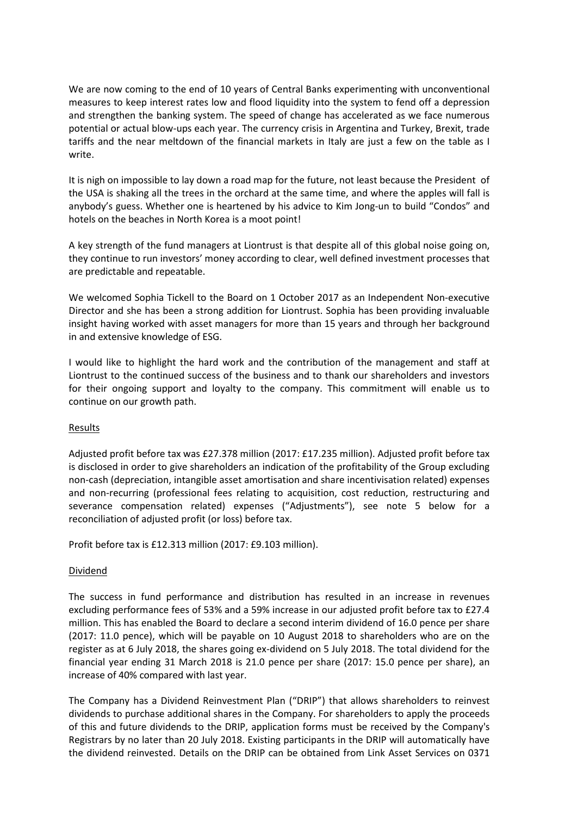We are now coming to the end of 10 years of Central Banks experimenting with unconventional measures to keep interest rates low and flood liquidity into the system to fend off a depression and strengthen the banking system. The speed of change has accelerated as we face numerous potential or actual blow-ups each year. The currency crisis in Argentina and Turkey, Brexit, trade tariffs and the near meltdown of the financial markets in Italy are just a few on the table as I write.

It is nigh on impossible to lay down a road map for the future, not least because the President of the USA is shaking all the trees in the orchard at the same time, and where the apples will fall is anybody's guess. Whether one is heartened by his advice to Kim Jong-un to build "Condos" and hotels on the beaches in North Korea is a moot point!

A key strength of the fund managers at Liontrust is that despite all of this global noise going on, they continue to run investors' money according to clear, well defined investment processes that are predictable and repeatable.

We welcomed Sophia Tickell to the Board on 1 October 2017 as an Independent Non-executive Director and she has been a strong addition for Liontrust. Sophia has been providing invaluable insight having worked with asset managers for more than 15 years and through her background in and extensive knowledge of ESG.

I would like to highlight the hard work and the contribution of the management and staff at Liontrust to the continued success of the business and to thank our shareholders and investors for their ongoing support and loyalty to the company. This commitment will enable us to continue on our growth path.

## **Results**

Adjusted profit before tax was £27.378 million (2017: £17.235 million). Adjusted profit before tax is disclosed in order to give shareholders an indication of the profitability of the Group excluding non-cash (depreciation, intangible asset amortisation and share incentivisation related) expenses and non-recurring (professional fees relating to acquisition, cost reduction, restructuring and severance compensation related) expenses ("Adjustments"), see note 5 below for a reconciliation of adjusted profit (or loss) before tax.

Profit before tax is £12.313 million (2017: £9.103 million).

## Dividend

The success in fund performance and distribution has resulted in an increase in revenues excluding performance fees of 53% and a 59% increase in our adjusted profit before tax to £27.4 million. This has enabled the Board to declare a second interim dividend of 16.0 pence per share (2017: 11.0 pence), which will be payable on 10 August 2018 to shareholders who are on the register as at 6 July 2018, the shares going ex-dividend on 5 July 2018. The total dividend for the financial year ending 31 March 2018 is 21.0 pence per share (2017: 15.0 pence per share), an increase of 40% compared with last year.

The Company has a Dividend Reinvestment Plan ("DRIP") that allows shareholders to reinvest dividends to purchase additional shares in the Company. For shareholders to apply the proceeds of this and future dividends to the DRIP, application forms must be received by the Company's Registrars by no later than 20 July 2018. Existing participants in the DRIP will automatically have the dividend reinvested. Details on the DRIP can be obtained from Link Asset Services on 0371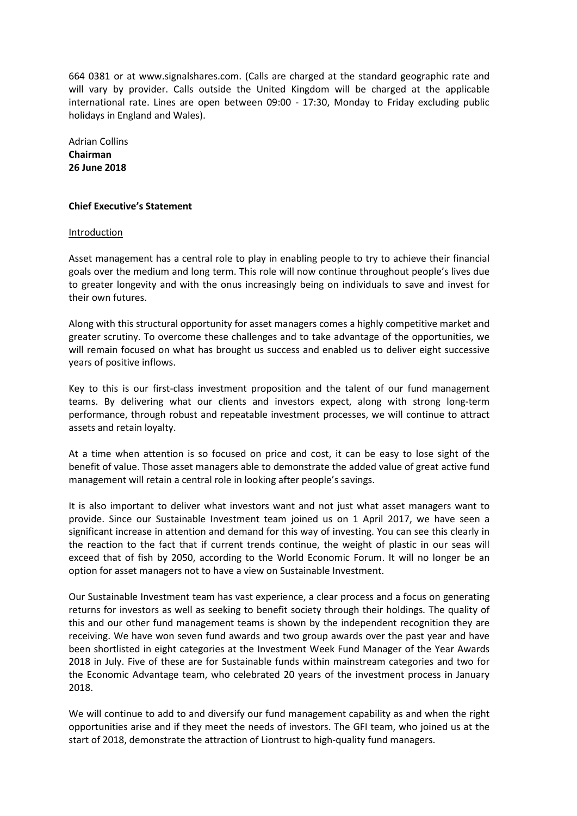664 0381 or at www.signalshares.com. (Calls are charged at the standard geographic rate and will vary by provider. Calls outside the United Kingdom will be charged at the applicable international rate. Lines are open between 09:00 - 17:30, Monday to Friday excluding public holidays in England and Wales).

Adrian Collins **Chairman 26 June 2018**

### **Chief Executive's Statement**

### Introduction

Asset management has a central role to play in enabling people to try to achieve their financial goals over the medium and long term. This role will now continue throughout people's lives due to greater longevity and with the onus increasingly being on individuals to save and invest for their own futures.

Along with this structural opportunity for asset managers comes a highly competitive market and greater scrutiny. To overcome these challenges and to take advantage of the opportunities, we will remain focused on what has brought us success and enabled us to deliver eight successive years of positive inflows.

Key to this is our first-class investment proposition and the talent of our fund management teams. By delivering what our clients and investors expect, along with strong long-term performance, through robust and repeatable investment processes, we will continue to attract assets and retain loyalty.

At a time when attention is so focused on price and cost, it can be easy to lose sight of the benefit of value. Those asset managers able to demonstrate the added value of great active fund management will retain a central role in looking after people's savings.

It is also important to deliver what investors want and not just what asset managers want to provide. Since our Sustainable Investment team joined us on 1 April 2017, we have seen a significant increase in attention and demand for this way of investing. You can see this clearly in the reaction to the fact that if current trends continue, the weight of plastic in our seas will exceed that of fish by 2050, according to the World Economic Forum. It will no longer be an option for asset managers not to have a view on Sustainable Investment.

Our Sustainable Investment team has vast experience, a clear process and a focus on generating returns for investors as well as seeking to benefit society through their holdings. The quality of this and our other fund management teams is shown by the independent recognition they are receiving. We have won seven fund awards and two group awards over the past year and have been shortlisted in eight categories at the Investment Week Fund Manager of the Year Awards 2018 in July. Five of these are for Sustainable funds within mainstream categories and two for the Economic Advantage team, who celebrated 20 years of the investment process in January 2018.

We will continue to add to and diversify our fund management capability as and when the right opportunities arise and if they meet the needs of investors. The GFI team, who joined us at the start of 2018, demonstrate the attraction of Liontrust to high-quality fund managers.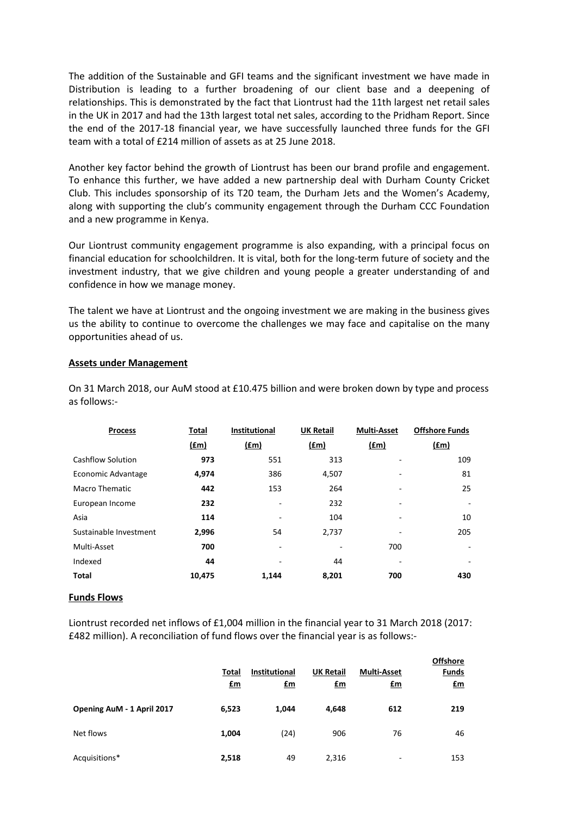The addition of the Sustainable and GFI teams and the significant investment we have made in Distribution is leading to a further broadening of our client base and a deepening of relationships. This is demonstrated by the fact that Liontrust had the 11th largest net retail sales in the UK in 2017 and had the 13th largest total net sales, according to the Pridham Report. Since the end of the 2017-18 financial year, we have successfully launched three funds for the GFI team with a total of £214 million of assets as at 25 June 2018.

Another key factor behind the growth of Liontrust has been our brand profile and engagement. To enhance this further, we have added a new partnership deal with Durham County Cricket Club. This includes sponsorship of its T20 team, the Durham Jets and the Women's Academy, along with supporting the club's community engagement through the Durham CCC Foundation and a new programme in Kenya.

Our Liontrust community engagement programme is also expanding, with a principal focus on financial education for schoolchildren. It is vital, both for the long-term future of society and the investment industry, that we give children and young people a greater understanding of and confidence in how we manage money.

The talent we have at Liontrust and the ongoing investment we are making in the business gives us the ability to continue to overcome the challenges we may face and capitalise on the many opportunities ahead of us.

### **Assets under Management**

On 31 March 2018, our AuM stood at £10.475 billion and were broken down by type and process as follows:-

| <b>Process</b>           | Total       | <b>Institutional</b>     | <b>UK Retail</b> | <b>Multi-Asset</b> | <b>Offshore Funds</b> |
|--------------------------|-------------|--------------------------|------------------|--------------------|-----------------------|
|                          | <u>(£m)</u> | $(\text{fm})$            | $(\text{fm})$    | $(\text{fm})$      | <u>(£m)</u>           |
| <b>Cashflow Solution</b> | 973         | 551                      | 313              |                    | 109                   |
| Economic Advantage       | 4,974       | 386                      | 4,507            |                    | 81                    |
| <b>Macro Thematic</b>    | 442         | 153                      | 264              |                    | 25                    |
| European Income          | 232         | $\overline{\phantom{m}}$ | 232              |                    |                       |
| Asia                     | 114         |                          | 104              |                    | 10                    |
| Sustainable Investment   | 2,996       | 54                       | 2,737            |                    | 205                   |
| Multi-Asset              | 700         | ٠                        |                  | 700                |                       |
| Indexed                  | 44          |                          | 44               |                    |                       |
| <b>Total</b>             | 10,475      | 1.144                    | 8,201            | 700                | 430                   |

### **Funds Flows**

Liontrust recorded net inflows of £1,004 million in the financial year to 31 March 2018 (2017: £482 million). A reconciliation of fund flows over the financial year is as follows:-

|                            | <b>Total</b><br>$f_{\text{m}}$ | <b>Institutional</b><br><u>£m</u> | <b>UK Retail</b><br>$\mathbf{f}$ m | <b>Multi-Asset</b><br><u>£m</u> | <b>Offshore</b><br><b>Funds</b><br><u>£m</u> |
|----------------------------|--------------------------------|-----------------------------------|------------------------------------|---------------------------------|----------------------------------------------|
| Opening AuM - 1 April 2017 | 6,523                          | 1,044                             | 4,648                              | 612                             | 219                                          |
| Net flows                  | 1,004                          | (24)                              | 906                                | 76                              | 46                                           |
| Acquisitions*              | 2,518                          | 49                                | 2,316                              | -                               | 153                                          |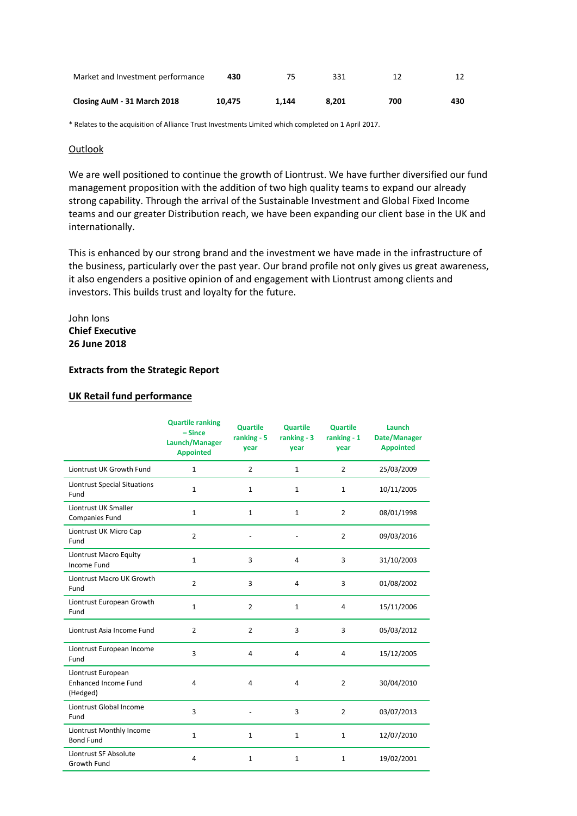| Market and Investment performance | 430    |       | 331   | 12  |     |
|-----------------------------------|--------|-------|-------|-----|-----|
| Closing AuM - 31 March 2018       | 10.475 | 1.144 | 8.201 | 700 | 430 |

\* Relates to the acquisition of Alliance Trust Investments Limited which completed on 1 April 2017.

## **Outlook**

We are well positioned to continue the growth of Liontrust. We have further diversified our fund management proposition with the addition of two high quality teams to expand our already strong capability. Through the arrival of the Sustainable Investment and Global Fixed Income teams and our greater Distribution reach, we have been expanding our client base in the UK and internationally.

This is enhanced by our strong brand and the investment we have made in the infrastructure of the business, particularly over the past year. Our brand profile not only gives us great awareness, it also engenders a positive opinion of and engagement with Liontrust among clients and investors. This builds trust and loyalty for the future.

John Ions **Chief Executive 26 June 2018**

## **Extracts from the Strategic Report**

## **UK Retail fund performance**

|                                                               | <b>Quartile ranking</b><br>$-Since$<br>Launch/Manager<br><b>Appointed</b> | <b>Quartile</b><br>ranking - 5<br>year | <b>Quartile</b><br>ranking $-3$<br>year | <b>Quartile</b><br>$ranking - 1$<br>year | Launch<br>Date/Manager<br><b>Appointed</b> |
|---------------------------------------------------------------|---------------------------------------------------------------------------|----------------------------------------|-----------------------------------------|------------------------------------------|--------------------------------------------|
| Liontrust UK Growth Fund                                      | $\mathbf{1}$                                                              | $\overline{2}$                         | $\mathbf{1}$                            | $\overline{2}$                           | 25/03/2009                                 |
| <b>Liontrust Special Situations</b><br>Fund                   | $\mathbf{1}$                                                              | $\mathbf{1}$                           | 1                                       | $\mathbf{1}$                             | 10/11/2005                                 |
| Liontrust UK Smaller<br>Companies Fund                        | 1                                                                         | $\mathbf{1}$                           | $\mathbf{1}$                            | $\overline{2}$                           | 08/01/1998                                 |
| Liontrust UK Micro Cap<br>Fund                                | $\overline{2}$                                                            |                                        |                                         | $\overline{2}$                           | 09/03/2016                                 |
| Liontrust Macro Equity<br><b>Income Fund</b>                  | $\mathbf 1$                                                               | 3                                      | $\overline{4}$                          | 3                                        | 31/10/2003                                 |
| Liontrust Macro UK Growth<br>Fund                             | $\overline{2}$                                                            | 3                                      | $\overline{4}$                          | 3                                        | 01/08/2002                                 |
| Liontrust European Growth<br>Fund                             | 1                                                                         | $\overline{2}$                         | $\mathbf{1}$                            | $\overline{4}$                           | 15/11/2006                                 |
| Liontrust Asia Income Fund                                    | $\overline{2}$                                                            | $\overline{2}$                         | 3                                       | 3                                        | 05/03/2012                                 |
| Liontrust European Income<br>Fund                             | 3                                                                         | 4                                      | 4                                       | 4                                        | 15/12/2005                                 |
| Liontrust European<br><b>Enhanced Income Fund</b><br>(Hedged) | 4                                                                         | 4                                      | 4                                       | $\overline{2}$                           | 30/04/2010                                 |
| Liontrust Global Income<br>Fund                               | 3                                                                         |                                        | 3                                       | $\overline{2}$                           | 03/07/2013                                 |
| Liontrust Monthly Income<br><b>Bond Fund</b>                  | 1                                                                         | $\mathbf{1}$                           | 1                                       | $\mathbf{1}$                             | 12/07/2010                                 |
| Liontrust SF Absolute<br>Growth Fund                          | $\overline{4}$                                                            | $\mathbf{1}$                           | $\mathbf{1}$                            | $\mathbf{1}$                             | 19/02/2001                                 |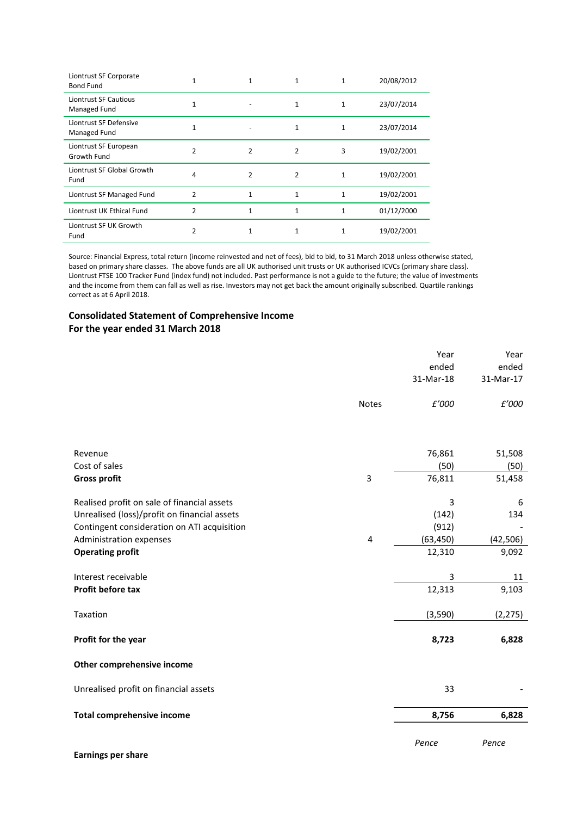| Liontrust SF Corporate<br><b>Bond Fund</b> |                |   | 1 |   | 20/08/2012 |
|--------------------------------------------|----------------|---|---|---|------------|
| Liontrust SF Cautious<br>Managed Fund      |                |   | 1 | 1 | 23/07/2014 |
| Liontrust SF Defensive<br>Managed Fund     |                |   |   |   | 23/07/2014 |
| Liontrust SF European<br>Growth Fund       | $\mathfrak{p}$ | 2 | 2 | 3 | 19/02/2001 |
| Liontrust SF Global Growth<br>Fund         | 4              | 2 | 2 | 1 | 19/02/2001 |
| Liontrust SF Managed Fund                  | $\overline{2}$ |   | 1 |   | 19/02/2001 |
| Liontrust UK Ethical Fund                  | $\mathfrak z$  |   | 1 |   | 01/12/2000 |
| Liontrust SF UK Growth<br>Fund             | 2              |   | 1 | 1 | 19/02/2001 |

Source: Financial Express, total return (income reinvested and net of fees), bid to bid, to 31 March 2018 unless otherwise stated, based on primary share classes. The above funds are all UK authorised unit trusts or UK authorised ICVCs (primary share class). Liontrust FTSE 100 Tracker Fund (index fund) not included. Past performance is not a guide to the future; the value of investments and the income from them can fall as well as rise. Investors may not get back the amount originally subscribed. Quartile rankings correct as at 6 April 2018.

## **Consolidated Statement of Comprehensive Income For the year ended 31 March 2018**

|                                              |                | Year<br>ended<br>31-Mar-18 | Year<br>ended<br>31-Mar-17 |
|----------------------------------------------|----------------|----------------------------|----------------------------|
|                                              | <b>Notes</b>   | £'000                      | £'000                      |
|                                              |                |                            |                            |
| Revenue                                      |                | 76,861                     | 51,508                     |
| Cost of sales                                |                | (50)                       | (50)                       |
| <b>Gross profit</b>                          | $\overline{3}$ | 76,811                     | 51,458                     |
| Realised profit on sale of financial assets  |                | 3                          | 6                          |
| Unrealised (loss)/profit on financial assets |                | (142)                      | 134                        |
| Contingent consideration on ATI acquisition  |                | (912)                      |                            |
| Administration expenses                      | 4              | (63, 450)                  | (42, 506)                  |
| <b>Operating profit</b>                      |                | 12,310                     | 9,092                      |
| Interest receivable                          |                | 3                          | 11                         |
| Profit before tax                            |                | 12,313                     | 9,103                      |
| Taxation                                     |                | (3,590)                    | (2, 275)                   |
| Profit for the year                          |                | 8,723                      | 6,828                      |
| Other comprehensive income                   |                |                            |                            |
| Unrealised profit on financial assets        |                | 33                         |                            |
| <b>Total comprehensive income</b>            |                | 8,756                      | 6,828                      |
|                                              |                | Pence                      | Pence                      |

**Earnings per share**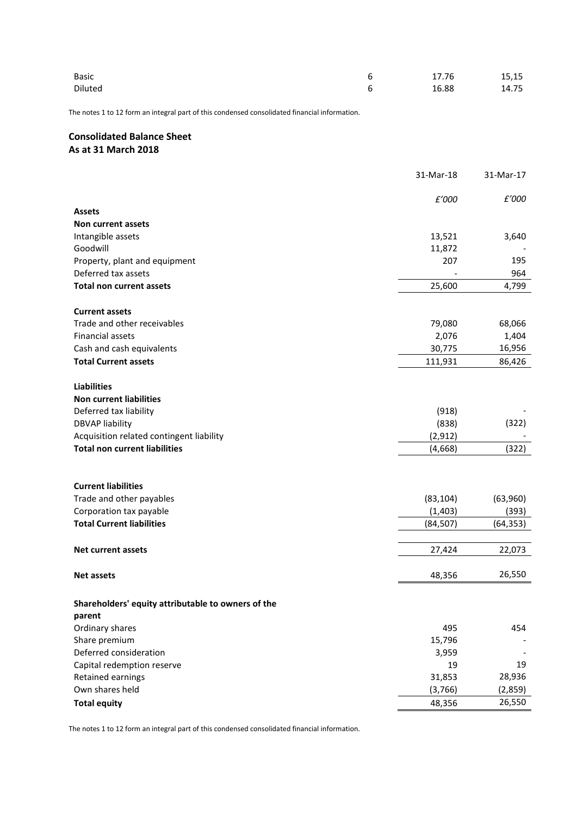| <b>Basic</b> | 17.76 | 15,15 |
|--------------|-------|-------|
| Diluted      | 16.88 | 14.75 |

The notes 1 to 12 form an integral part of this condensed consolidated financial information.

# **Consolidated Balance Sheet As at 31 March 2018**

|                                                    | 31-Mar-18 | 31-Mar-17 |
|----------------------------------------------------|-----------|-----------|
|                                                    | £'000     | £'000     |
| <b>Assets</b>                                      |           |           |
| Non current assets                                 |           |           |
| Intangible assets                                  | 13,521    | 3,640     |
| Goodwill                                           | 11,872    |           |
| Property, plant and equipment                      | 207       | 195       |
| Deferred tax assets                                |           | 964       |
| <b>Total non current assets</b>                    | 25,600    | 4,799     |
| <b>Current assets</b>                              |           |           |
| Trade and other receivables                        | 79,080    | 68,066    |
| Financial assets                                   | 2,076     | 1,404     |
| Cash and cash equivalents                          | 30,775    | 16,956    |
| <b>Total Current assets</b>                        | 111,931   | 86,426    |
| <b>Liabilities</b>                                 |           |           |
| <b>Non current liabilities</b>                     |           |           |
| Deferred tax liability                             | (918)     |           |
| <b>DBVAP liability</b>                             | (838)     | (322)     |
| Acquisition related contingent liability           | (2, 912)  |           |
| <b>Total non current liabilities</b>               | (4,668)   | (322)     |
|                                                    |           |           |
| <b>Current liabilities</b>                         |           |           |
| Trade and other payables                           | (83, 104) | (63,960)  |
| Corporation tax payable                            | (1, 403)  | (393)     |
| <b>Total Current liabilities</b>                   | (84, 507) | (64, 353) |
| <b>Net current assets</b>                          | 27,424    | 22,073    |
| <b>Net assets</b>                                  | 48,356    | 26,550    |
| Shareholders' equity attributable to owners of the |           |           |
| parent                                             |           |           |
| Ordinary shares                                    | 495       | 454       |
| Share premium                                      | 15,796    |           |
| Deferred consideration                             | 3,959     |           |
| Capital redemption reserve                         | 19        | 19        |
| Retained earnings                                  | 31,853    | 28,936    |
| Own shares held                                    | (3,766)   | (2,859)   |
| <b>Total equity</b>                                | 48,356    | 26,550    |

The notes 1 to 12 form an integral part of this condensed consolidated financial information.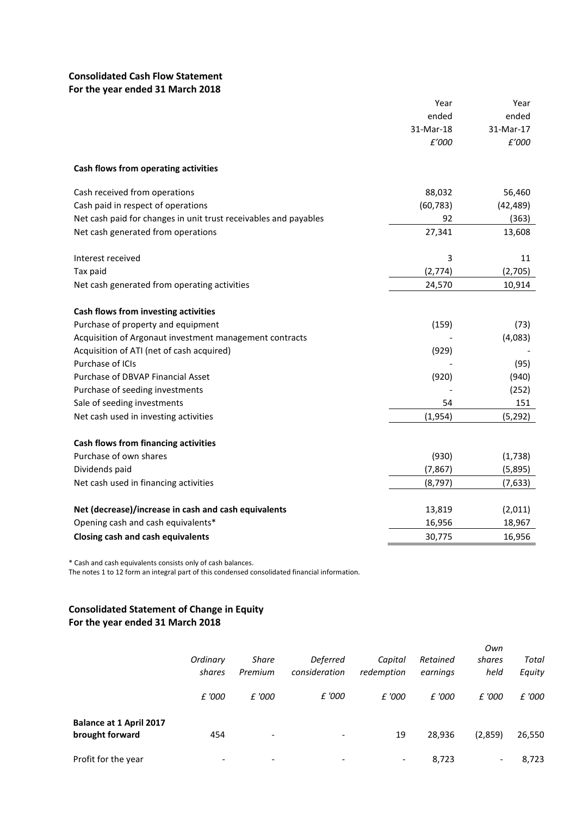# **Consolidated Cash Flow Statement For the year ended 31 March 2018**

|                                                                  | Year      | Year      |
|------------------------------------------------------------------|-----------|-----------|
|                                                                  | ended     | ended     |
|                                                                  | 31-Mar-18 | 31-Mar-17 |
|                                                                  | £'000     | £'000     |
| Cash flows from operating activities                             |           |           |
| Cash received from operations                                    | 88,032    | 56,460    |
| Cash paid in respect of operations                               | (60, 783) | (42, 489) |
| Net cash paid for changes in unit trust receivables and payables | 92        | (363)     |
| Net cash generated from operations                               | 27,341    | 13,608    |
| Interest received                                                | 3         | 11        |
| Tax paid                                                         | (2,774)   | (2,705)   |
| Net cash generated from operating activities                     | 24,570    | 10,914    |
| Cash flows from investing activities                             |           |           |
| Purchase of property and equipment                               | (159)     | (73)      |
| Acquisition of Argonaut investment management contracts          |           | (4,083)   |
| Acquisition of ATI (net of cash acquired)                        | (929)     |           |
| Purchase of ICIs                                                 |           | (95)      |
| Purchase of DBVAP Financial Asset                                | (920)     | (940)     |
| Purchase of seeding investments                                  |           | (252)     |
| Sale of seeding investments                                      | 54        | 151       |
| Net cash used in investing activities                            | (1,954)   | (5, 292)  |
| Cash flows from financing activities                             |           |           |
| Purchase of own shares                                           | (930)     | (1,738)   |
| Dividends paid                                                   | (7, 867)  | (5,895)   |
| Net cash used in financing activities                            | (8, 797)  | (7,633)   |
| Net (decrease)/increase in cash and cash equivalents             | 13,819    | (2,011)   |
| Opening cash and cash equivalents*                               | 16,956    | 18,967    |
| <b>Closing cash and cash equivalents</b>                         | 30,775    | 16,956    |

\* Cash and cash equivalents consists only of cash balances.

The notes 1 to 12 form an integral part of this condensed consolidated financial information.

# **Consolidated Statement of Change in Equity For the year ended 31 March 2018**

|                                                   | Ordinary<br>shares | Share<br>Premium         | <b>Deferred</b><br>consideration | Capital<br>redemption    | Retained<br>earnings | Own<br>shares<br>held    | Total<br>Equity |
|---------------------------------------------------|--------------------|--------------------------|----------------------------------|--------------------------|----------------------|--------------------------|-----------------|
|                                                   | £ '000             | £ '000                   | £ '000                           | £ '000                   | £ '000               | £ '000                   | £ '000          |
| <b>Balance at 1 April 2017</b><br>brought forward | 454                | $\overline{\phantom{a}}$ | $\overline{\phantom{a}}$         | 19                       | 28,936               | (2,859)                  | 26,550          |
| Profit for the year                               |                    | $\overline{\phantom{a}}$ | $\overline{\phantom{a}}$         | $\overline{\phantom{a}}$ | 8,723                | $\overline{\phantom{0}}$ | 8,723           |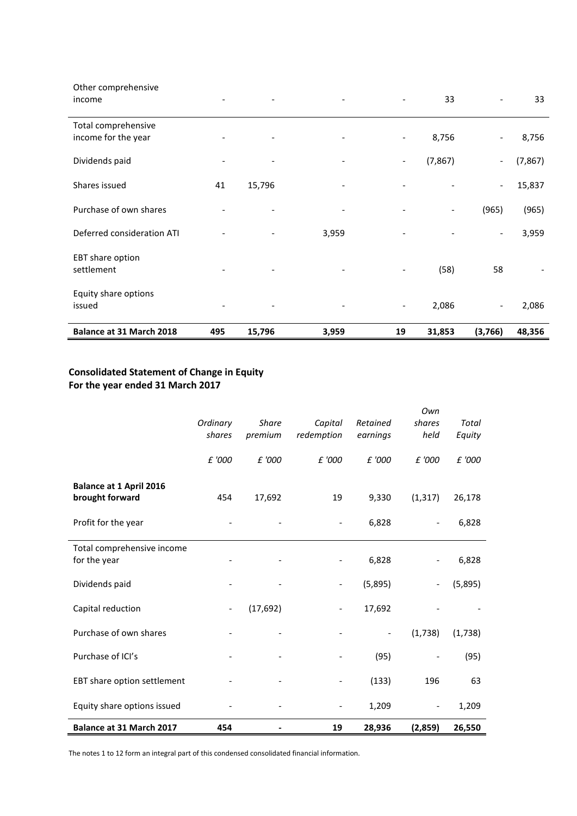| Balance at 31 March 2018                   | 495 | 15,796 | 3,959                    | 19                       | 31,853                   | (3,766)                  | 48,356   |
|--------------------------------------------|-----|--------|--------------------------|--------------------------|--------------------------|--------------------------|----------|
| Equity share options<br>issued             |     |        | $\overline{\phantom{a}}$ | $\overline{\phantom{a}}$ | 2,086                    | $\overline{\phantom{a}}$ | 2,086    |
| EBT share option<br>settlement             |     |        |                          |                          | (58)                     | 58                       |          |
| Deferred consideration ATI                 |     |        | 3,959                    |                          |                          | $\overline{\phantom{a}}$ | 3,959    |
| Purchase of own shares                     |     |        |                          |                          | $\overline{\phantom{a}}$ | (965)                    | (965)    |
| Shares issued                              | 41  | 15,796 | $\overline{\phantom{0}}$ | $\overline{\phantom{a}}$ |                          | $\overline{\phantom{a}}$ | 15,837   |
| Dividends paid                             |     |        |                          | $\overline{\phantom{a}}$ | (7, 867)                 | $\overline{\phantom{a}}$ | (7, 867) |
| Total comprehensive<br>income for the year |     |        |                          | $\overline{\phantom{a}}$ | 8,756                    | $\overline{\phantom{a}}$ | 8,756    |
| Other comprehensive<br>income              |     |        |                          |                          | 33                       | $\overline{\phantom{a}}$ | 33       |

# **Consolidated Statement of Change in Equity For the year ended 31 March 2017**

|                                                   | Ordinary<br>shares           | <b>Share</b><br>premium | Capital<br>redemption    | Retained<br>earnings     | Own<br>shares<br>held    | Total<br>Equity |
|---------------------------------------------------|------------------------------|-------------------------|--------------------------|--------------------------|--------------------------|-----------------|
|                                                   | £ '000                       | £ '000                  | £ '000                   | £ '000                   | £ '000                   | £ '000          |
| <b>Balance at 1 April 2016</b><br>brought forward | 454                          | 17,692                  | 19                       | 9,330                    | (1, 317)                 | 26,178          |
| Profit for the year                               |                              |                         | $\overline{\phantom{a}}$ | 6,828                    | $\overline{\phantom{a}}$ | 6,828           |
| Total comprehensive income<br>for the year        |                              |                         |                          | 6,828                    |                          | 6,828           |
| Dividends paid                                    |                              |                         | $\overline{\phantom{a}}$ | (5,895)                  | $\overline{\phantom{a}}$ | (5,895)         |
| Capital reduction                                 | $\qquad \qquad \blacksquare$ | (17, 692)               | $\overline{\phantom{0}}$ | 17,692                   |                          |                 |
| Purchase of own shares                            |                              |                         |                          | $\overline{\phantom{0}}$ | (1,738)                  | (1,738)         |
| Purchase of ICI's                                 |                              |                         |                          | (95)                     | $\overline{\phantom{a}}$ | (95)            |
| EBT share option settlement                       |                              |                         |                          | (133)                    | 196                      | 63              |
| Equity share options issued                       |                              |                         |                          | 1,209                    | $\overline{\phantom{a}}$ | 1,209           |
| Balance at 31 March 2017                          | 454                          |                         | 19                       | 28,936                   | (2,859)                  | 26,550          |

The notes 1 to 12 form an integral part of this condensed consolidated financial information.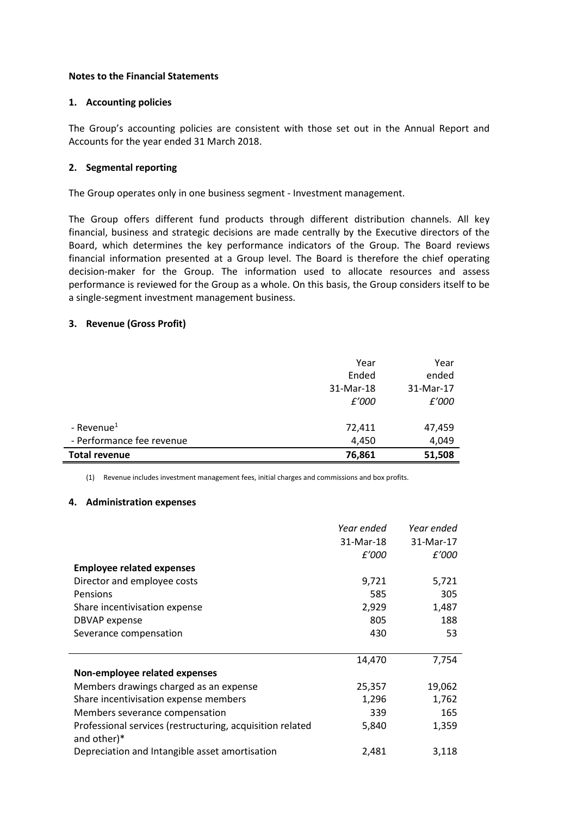## **Notes to the Financial Statements**

## **1. Accounting policies**

The Group's accounting policies are consistent with those set out in the Annual Report and Accounts for the year ended 31 March 2018.

# **2. Segmental reporting**

The Group operates only in one business segment - Investment management.

The Group offers different fund products through different distribution channels. All key financial, business and strategic decisions are made centrally by the Executive directors of the Board, which determines the key performance indicators of the Group. The Board reviews financial information presented at a Group level. The Board is therefore the chief operating decision-maker for the Group. The information used to allocate resources and assess performance is reviewed for the Group as a whole. On this basis, the Group considers itself to be a single-segment investment management business.

# **3. Revenue (Gross Profit)**

|                           | Year      | Year      |
|---------------------------|-----------|-----------|
|                           | Ended     | ended     |
|                           | 31-Mar-18 | 31-Mar-17 |
|                           | £'000     | £'000     |
|                           |           |           |
| - Revenue <sup>1</sup>    | 72,411    | 47,459    |
| - Performance fee revenue | 4,450     | 4,049     |
| <b>Total revenue</b>      | 76,861    | 51,508    |

(1) Revenue includes investment management fees, initial charges and commissions and box profits.

## **4. Administration expenses**

|                                                                          | Year ended | Year ended |
|--------------------------------------------------------------------------|------------|------------|
|                                                                          | 31-Mar-18  | 31-Mar-17  |
|                                                                          | £'000      | £'000      |
| <b>Employee related expenses</b>                                         |            |            |
| Director and employee costs                                              | 9,721      | 5,721      |
| Pensions                                                                 | 585        | 305        |
| Share incentivisation expense                                            | 2,929      | 1,487      |
| <b>DBVAP</b> expense                                                     | 805        | 188        |
| Severance compensation                                                   | 430        | 53         |
|                                                                          |            |            |
|                                                                          | 14,470     | 7,754      |
| Non-employee related expenses                                            |            |            |
| Members drawings charged as an expense                                   | 25,357     | 19,062     |
| Share incentivisation expense members                                    | 1,296      | 1,762      |
| Members severance compensation                                           | 339        | 165        |
| Professional services (restructuring, acquisition related<br>and other)* | 5,840      | 1,359      |
| Depreciation and Intangible asset amortisation                           | 2,481      | 3,118      |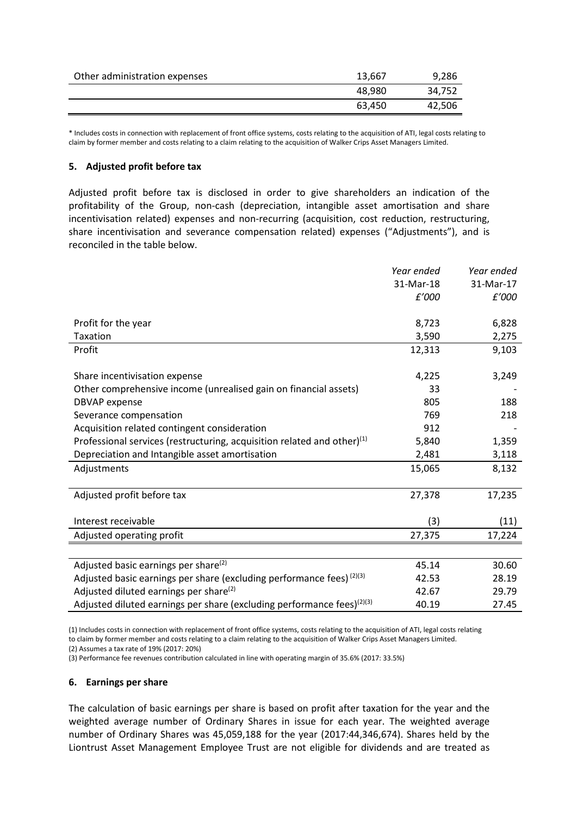| Other administration expenses | 13,667 | 9,286  |
|-------------------------------|--------|--------|
|                               | 48.980 | 34.752 |
|                               | 63,450 | 42,506 |

\* Includes costs in connection with replacement of front office systems, costs relating to the acquisition of ATI, legal costs relating to claim by former member and costs relating to a claim relating to the acquisition of Walker Crips Asset Managers Limited.

## **5. Adjusted profit before tax**

Adjusted profit before tax is disclosed in order to give shareholders an indication of the profitability of the Group, non-cash (depreciation, intangible asset amortisation and share incentivisation related) expenses and non-recurring (acquisition, cost reduction, restructuring, share incentivisation and severance compensation related) expenses ("Adjustments"), and is reconciled in the table below.

|                                                                            | Year ended | Year ended |
|----------------------------------------------------------------------------|------------|------------|
|                                                                            | 31-Mar-18  | 31-Mar-17  |
|                                                                            | £'000      | £'000      |
|                                                                            |            |            |
| Profit for the year                                                        | 8,723      | 6,828      |
| Taxation                                                                   | 3,590      | 2,275      |
| Profit                                                                     | 12,313     | 9,103      |
|                                                                            |            |            |
| Share incentivisation expense                                              | 4,225      | 3,249      |
| Other comprehensive income (unrealised gain on financial assets)           | 33         |            |
| <b>DBVAP</b> expense                                                       | 805        | 188        |
| Severance compensation                                                     | 769        | 218        |
| Acquisition related contingent consideration                               | 912        |            |
| Professional services (restructuring, acquisition related and other) $(1)$ | 5,840      | 1,359      |
| Depreciation and Intangible asset amortisation                             | 2,481      | 3,118      |
| Adjustments                                                                | 15,065     | 8,132      |
|                                                                            |            |            |
| Adjusted profit before tax                                                 | 27,378     | 17,235     |
|                                                                            |            |            |
| Interest receivable                                                        | (3)        | (11)       |
| Adjusted operating profit                                                  | 27,375     | 17,224     |
|                                                                            |            |            |
| Adjusted basic earnings per share <sup>(2)</sup>                           | 45.14      | 30.60      |
| Adjusted basic earnings per share (excluding performance fees) (2)(3)      | 42.53      | 28.19      |
| Adjusted diluted earnings per share <sup>(2)</sup>                         | 42.67      | 29.79      |
| Adjusted diluted earnings per share (excluding performance fees) $(2)(3)$  | 40.19      | 27.45      |

(1) Includes costs in connection with replacement of front office systems, costs relating to the acquisition of ATI, legal costs relating to claim by former member and costs relating to a claim relating to the acquisition of Walker Crips Asset Managers Limited. (2) Assumes a tax rate of 19% (2017: 20%)

(3) Performance fee revenues contribution calculated in line with operating margin of 35.6% (2017: 33.5%)

### **6. Earnings per share**

The calculation of basic earnings per share is based on profit after taxation for the year and the weighted average number of Ordinary Shares in issue for each year. The weighted average number of Ordinary Shares was 45,059,188 for the year (2017:44,346,674). Shares held by the Liontrust Asset Management Employee Trust are not eligible for dividends and are treated as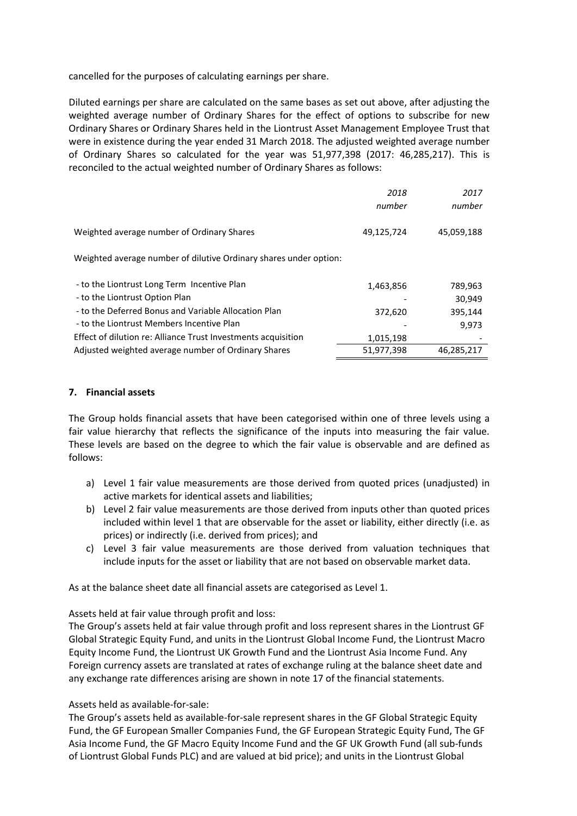cancelled for the purposes of calculating earnings per share.

Diluted earnings per share are calculated on the same bases as set out above, after adjusting the weighted average number of Ordinary Shares for the effect of options to subscribe for new Ordinary Shares or Ordinary Shares held in the Liontrust Asset Management Employee Trust that were in existence during the year ended 31 March 2018. The adjusted weighted average number of Ordinary Shares so calculated for the year was 51,977,398 (2017: 46,285,217). This is reconciled to the actual weighted number of Ordinary Shares as follows:

|                                                                               | 2018<br>number | 2017<br>number    |
|-------------------------------------------------------------------------------|----------------|-------------------|
| Weighted average number of Ordinary Shares                                    | 49,125,724     | 45,059,188        |
| Weighted average number of dilutive Ordinary shares under option:             |                |                   |
| - to the Liontrust Long Term Incentive Plan<br>- to the Liontrust Option Plan | 1,463,856      | 789,963<br>30,949 |
| - to the Deferred Bonus and Variable Allocation Plan                          | 372,620        | 395,144           |
| - to the Liontrust Members Incentive Plan                                     |                | 9,973             |
| Effect of dilution re: Alliance Trust Investments acquisition                 | 1,015,198      |                   |
| Adjusted weighted average number of Ordinary Shares                           | 51,977,398     | 46,285,217        |

## **7. Financial assets**

The Group holds financial assets that have been categorised within one of three levels using a fair value hierarchy that reflects the significance of the inputs into measuring the fair value. These levels are based on the degree to which the fair value is observable and are defined as follows:

- a) Level 1 fair value measurements are those derived from quoted prices (unadjusted) in active markets for identical assets and liabilities;
- b) Level 2 fair value measurements are those derived from inputs other than quoted prices included within level 1 that are observable for the asset or liability, either directly (i.e. as prices) or indirectly (i.e. derived from prices); and
- c) Level 3 fair value measurements are those derived from valuation techniques that include inputs for the asset or liability that are not based on observable market data.

As at the balance sheet date all financial assets are categorised as Level 1.

Assets held at fair value through profit and loss:

The Group's assets held at fair value through profit and loss represent shares in the Liontrust GF Global Strategic Equity Fund, and units in the Liontrust Global Income Fund, the Liontrust Macro Equity Income Fund, the Liontrust UK Growth Fund and the Liontrust Asia Income Fund. Any Foreign currency assets are translated at rates of exchange ruling at the balance sheet date and any exchange rate differences arising are shown in note 17 of the financial statements.

### Assets held as available-for-sale:

The Group's assets held as available-for-sale represent shares in the GF Global Strategic Equity Fund, the GF European Smaller Companies Fund, the GF European Strategic Equity Fund, The GF Asia Income Fund, the GF Macro Equity Income Fund and the GF UK Growth Fund (all sub-funds of Liontrust Global Funds PLC) and are valued at bid price); and units in the Liontrust Global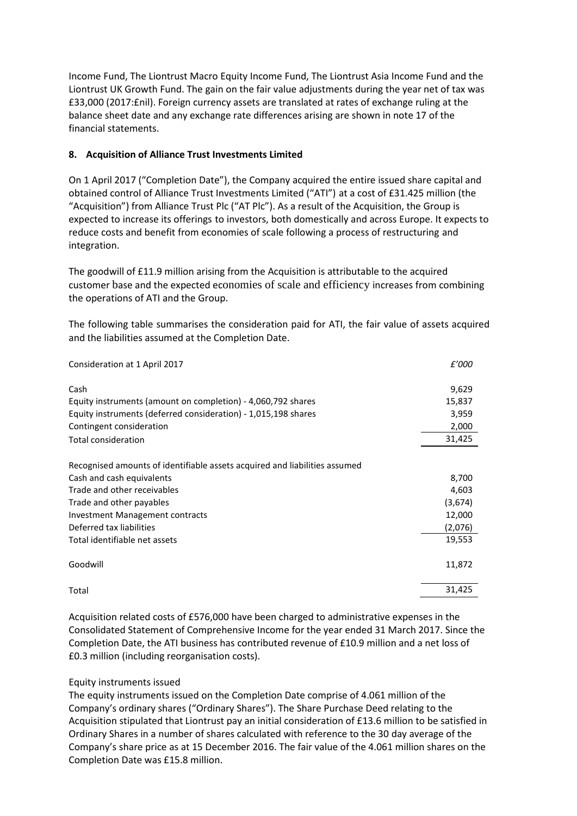Income Fund, The Liontrust Macro Equity Income Fund, The Liontrust Asia Income Fund and the Liontrust UK Growth Fund. The gain on the fair value adjustments during the year net of tax was £33,000 (2017:£nil). Foreign currency assets are translated at rates of exchange ruling at the balance sheet date and any exchange rate differences arising are shown in note 17 of the financial statements.

# **8. Acquisition of Alliance Trust Investments Limited**

On 1 April 2017 ("Completion Date"), the Company acquired the entire issued share capital and obtained control of Alliance Trust Investments Limited ("ATI") at a cost of £31.425 million (the "Acquisition") from Alliance Trust Plc ("AT Plc"). As a result of the Acquisition, the Group is expected to increase its offerings to investors, both domestically and across Europe. It expects to reduce costs and benefit from economies of scale following a process of restructuring and integration.

The goodwill of £11.9 million arising from the Acquisition is attributable to the acquired customer base and the expected economies of scale and efficiency increases from combining the operations of ATI and the Group.

The following table summarises the consideration paid for ATI, the fair value of assets acquired and the liabilities assumed at the Completion Date.

| Consideration at 1 April 2017                                              | £'000   |
|----------------------------------------------------------------------------|---------|
| Cash                                                                       | 9,629   |
| Equity instruments (amount on completion) - 4,060,792 shares               | 15,837  |
| Equity instruments (deferred consideration) - 1,015,198 shares             | 3,959   |
| Contingent consideration                                                   | 2,000   |
| <b>Total consideration</b>                                                 | 31,425  |
| Recognised amounts of identifiable assets acquired and liabilities assumed |         |
| Cash and cash equivalents                                                  | 8,700   |
| Trade and other receivables                                                | 4,603   |
| Trade and other payables                                                   | (3,674) |
| Investment Management contracts                                            | 12,000  |
| Deferred tax liabilities                                                   | (2,076) |
| Total identifiable net assets                                              | 19,553  |
| Goodwill                                                                   | 11,872  |
| Total                                                                      | 31,425  |

Acquisition related costs of £576,000 have been charged to administrative expenses in the Consolidated Statement of Comprehensive Income for the year ended 31 March 2017. Since the Completion Date, the ATI business has contributed revenue of £10.9 million and a net loss of £0.3 million (including reorganisation costs).

# Equity instruments issued

The equity instruments issued on the Completion Date comprise of 4.061 million of the Company's ordinary shares ("Ordinary Shares"). The Share Purchase Deed relating to the Acquisition stipulated that Liontrust pay an initial consideration of £13.6 million to be satisfied in Ordinary Shares in a number of shares calculated with reference to the 30 day average of the Company's share price as at 15 December 2016. The fair value of the 4.061 million shares on the Completion Date was £15.8 million.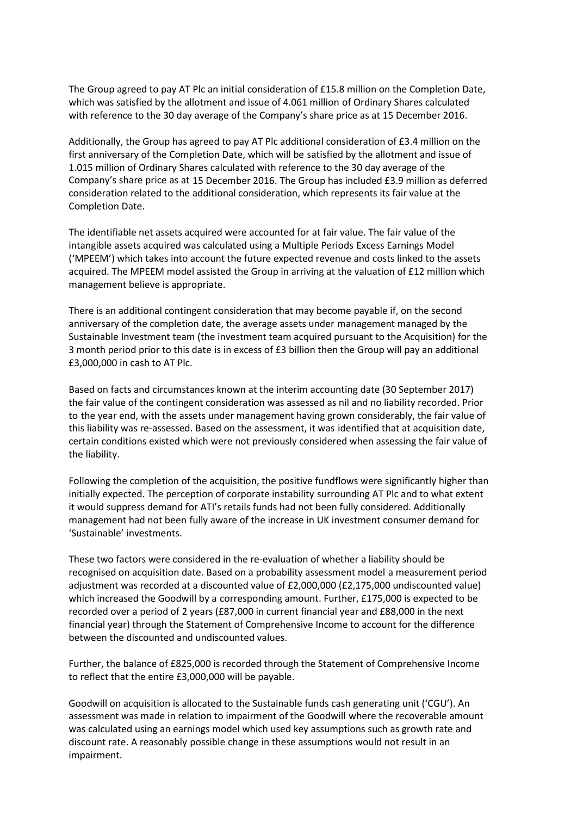The Group agreed to pay AT Plc an initial consideration of £15.8 million on the Completion Date, which was satisfied by the allotment and issue of 4.061 million of Ordinary Shares calculated with reference to the 30 day average of the Company's share price as at 15 December 2016.

Additionally, the Group has agreed to pay AT Plc additional consideration of £3.4 million on the first anniversary of the Completion Date, which will be satisfied by the allotment and issue of 1.015 million of Ordinary Shares calculated with reference to the 30 day average of the Company's share price as at 15 December 2016. The Group has included £3.9 million as deferred consideration related to the additional consideration, which represents its fair value at the Completion Date.

The identifiable net assets acquired were accounted for at fair value. The fair value of the intangible assets acquired was calculated using a Multiple Periods Excess Earnings Model ('MPEEM') which takes into account the future expected revenue and costs linked to the assets acquired. The MPEEM model assisted the Group in arriving at the valuation of £12 million which management believe is appropriate.

There is an additional contingent consideration that may become payable if, on the second anniversary of the completion date, the average assets under management managed by the Sustainable Investment team (the investment team acquired pursuant to the Acquisition) for the 3 month period prior to this date is in excess of £3 billion then the Group will pay an additional £3,000,000 in cash to AT Plc.

Based on facts and circumstances known at the interim accounting date (30 September 2017) the fair value of the contingent consideration was assessed as nil and no liability recorded. Prior to the year end, with the assets under management having grown considerably, the fair value of this liability was re-assessed. Based on the assessment, it was identified that at acquisition date, certain conditions existed which were not previously considered when assessing the fair value of the liability.

Following the completion of the acquisition, the positive fundflows were significantly higher than initially expected. The perception of corporate instability surrounding AT Plc and to what extent it would suppress demand for ATI's retails funds had not been fully considered. Additionally management had not been fully aware of the increase in UK investment consumer demand for 'Sustainable' investments.

These two factors were considered in the re-evaluation of whether a liability should be recognised on acquisition date. Based on a probability assessment model a measurement period adjustment was recorded at a discounted value of £2,000,000 (£2,175,000 undiscounted value) which increased the Goodwill by a corresponding amount. Further, £175,000 is expected to be recorded over a period of 2 years (£87,000 in current financial year and £88,000 in the next financial year) through the Statement of Comprehensive Income to account for the difference between the discounted and undiscounted values.

Further, the balance of £825,000 is recorded through the Statement of Comprehensive Income to reflect that the entire £3,000,000 will be payable.

Goodwill on acquisition is allocated to the Sustainable funds cash generating unit ('CGU'). An assessment was made in relation to impairment of the Goodwill where the recoverable amount was calculated using an earnings model which used key assumptions such as growth rate and discount rate. A reasonably possible change in these assumptions would not result in an impairment.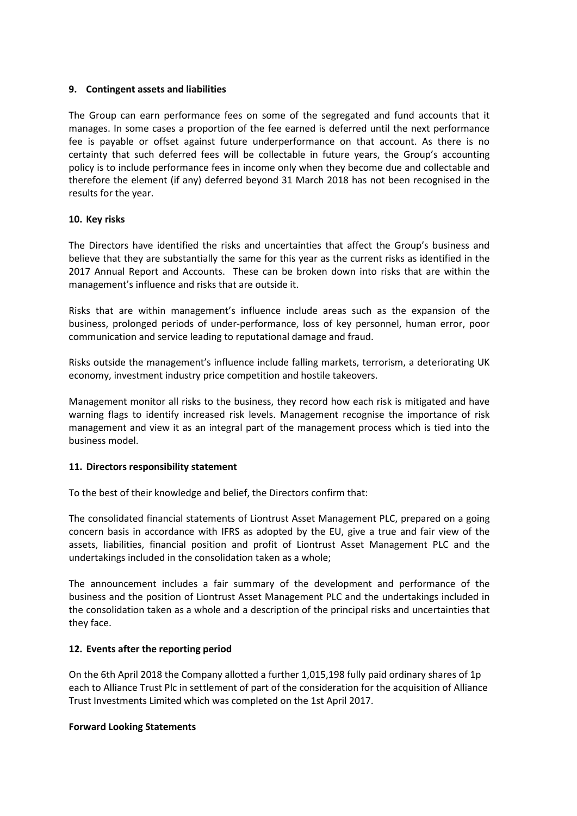## **9. Contingent assets and liabilities**

The Group can earn performance fees on some of the segregated and fund accounts that it manages. In some cases a proportion of the fee earned is deferred until the next performance fee is payable or offset against future underperformance on that account. As there is no certainty that such deferred fees will be collectable in future years, the Group's accounting policy is to include performance fees in income only when they become due and collectable and therefore the element (if any) deferred beyond 31 March 2018 has not been recognised in the results for the year.

## **10. Key risks**

The Directors have identified the risks and uncertainties that affect the Group's business and believe that they are substantially the same for this year as the current risks as identified in the 2017 Annual Report and Accounts. These can be broken down into risks that are within the management's influence and risks that are outside it.

Risks that are within management's influence include areas such as the expansion of the business, prolonged periods of under-performance, loss of key personnel, human error, poor communication and service leading to reputational damage and fraud.

Risks outside the management's influence include falling markets, terrorism, a deteriorating UK economy, investment industry price competition and hostile takeovers.

Management monitor all risks to the business, they record how each risk is mitigated and have warning flags to identify increased risk levels. Management recognise the importance of risk management and view it as an integral part of the management process which is tied into the business model.

## **11. Directors responsibility statement**

To the best of their knowledge and belief, the Directors confirm that:

The consolidated financial statements of Liontrust Asset Management PLC, prepared on a going concern basis in accordance with IFRS as adopted by the EU, give a true and fair view of the assets, liabilities, financial position and profit of Liontrust Asset Management PLC and the undertakings included in the consolidation taken as a whole;

The announcement includes a fair summary of the development and performance of the business and the position of Liontrust Asset Management PLC and the undertakings included in the consolidation taken as a whole and a description of the principal risks and uncertainties that they face.

## **12. Events after the reporting period**

On the 6th April 2018 the Company allotted a further 1,015,198 fully paid ordinary shares of 1p each to Alliance Trust Plc in settlement of part of the consideration for the acquisition of Alliance Trust Investments Limited which was completed on the 1st April 2017.

## **Forward Looking Statements**